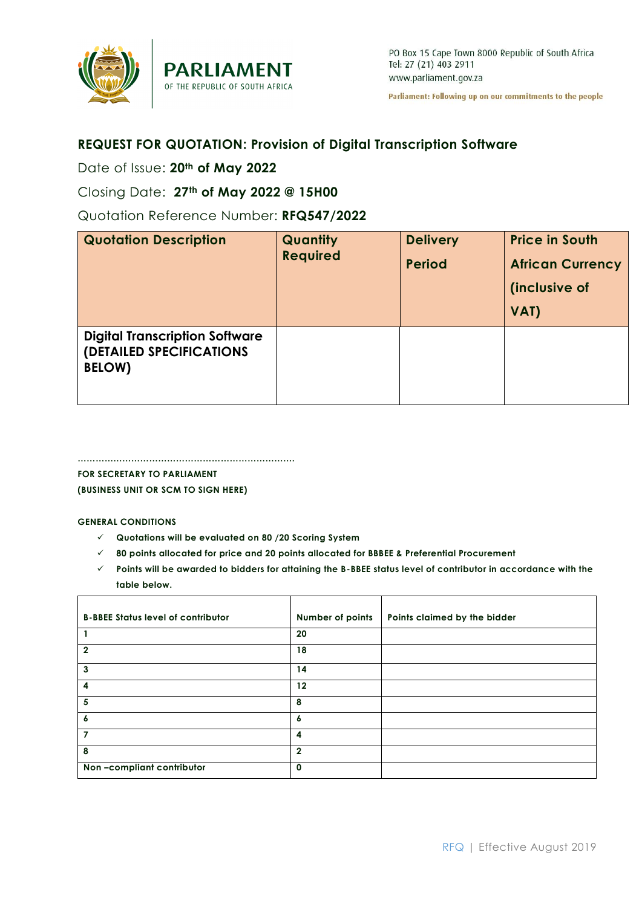

Parliament: Following up on our commitments to the people

# **REQUEST FOR QUOTATION: Provision of Digital Transcription Software**

# Date of Issue: **20th of May 2022**

Closing Date: **27th of May 2022 @ 15H00**

Quotation Reference Number: **RFQ547/2022**

| <b>Quotation Description</b>                                                       | Quantity<br><b>Required</b> | <b>Delivery</b><br><b>Period</b> | <b>Price in South</b><br><b>African Currency</b><br>(inclusive of<br>VAT) |
|------------------------------------------------------------------------------------|-----------------------------|----------------------------------|---------------------------------------------------------------------------|
| <b>Digital Transcription Software</b><br>(DETAILED SPECIFICATIONS<br><b>BELOW)</b> |                             |                                  |                                                                           |

**………………………………………………………………. FOR SECRETARY TO PARLIAMENT**

**(BUSINESS UNIT OR SCM TO SIGN HERE)**

### **GENERAL CONDITIONS**

- **Quotations will be evaluated on 80 /20 Scoring System**
- **80 points allocated for price and 20 points allocated for BBBEE & Preferential Procurement**
- **Points will be awarded to bidders for attaining the B-BBEE status level of contributor in accordance with the table below.**

| <b>B-BBEE Status level of contributor</b> | Number of points  | Points claimed by the bidder |
|-------------------------------------------|-------------------|------------------------------|
|                                           | 20                |                              |
| $\mathbf{2}$                              | 18                |                              |
| 3                                         | 14                |                              |
| 4                                         | $12 \overline{ }$ |                              |
| 5                                         | 8                 |                              |
| 6                                         | 6                 |                              |
|                                           | 4                 |                              |
| 8                                         | $\overline{2}$    |                              |
| Non-compliant contributor                 | 0                 |                              |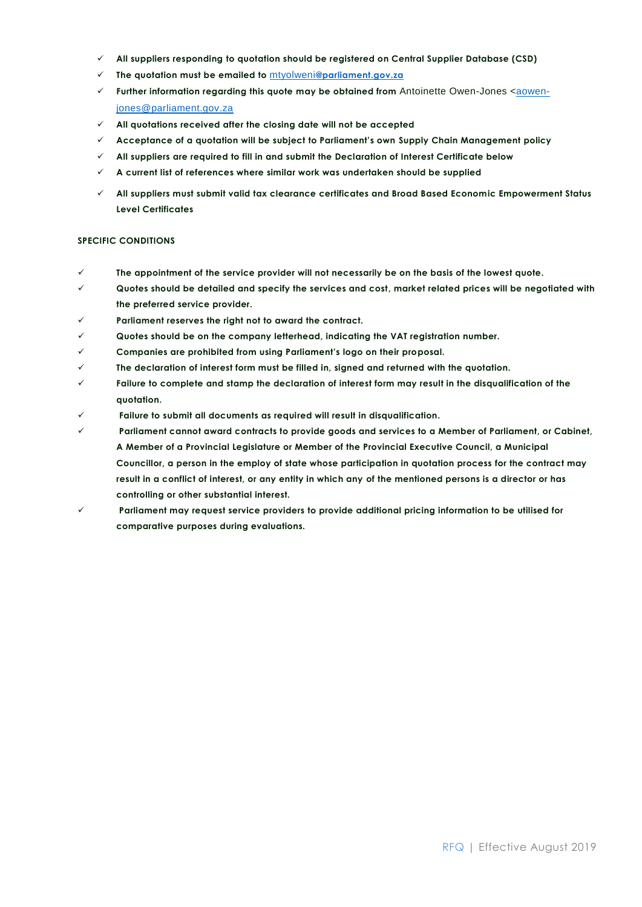- **All suppliers responding to quotation should be registered on Central Supplier Database (CSD)**
- **The quotation must be emailed to** mtyolweni**[@parliament.gov.za](mailto:rfq@parliament.gov.za)**
- **Further information regarding this quote may be obtained from** Antoinette Owen-Jones <**aowen**[jones@parliament.gov.za](mailto:aowen-jones@parliament.gov.za)
- **All quotations received after the closing date will not be accepted**
- **Acceptance of a quotation will be subject to Parliament's own Supply Chain Management policy**
- **All suppliers are required to fill in and submit the Declaration of Interest Certificate below**
- **A current list of references where similar work was undertaken should be supplied**
- **All suppliers must submit valid tax clearance certificates and Broad Based Economic Empowerment Status Level Certificates**

#### **SPECIFIC CONDITIONS**

- **The appointment of the service provider will not necessarily be on the basis of the lowest quote.**
- **Quotes should be detailed and specify the services and cost, market related prices will be negotiated with the preferred service provider.**
- **Parliament reserves the right not to award the contract.**
- **Quotes should be on the company letterhead, indicating the VAT registration number.**
- **Companies are prohibited from using Parliament's logo on their proposal.**
- **The declaration of interest form must be filled in, signed and returned with the quotation.**
- **Failure to complete and stamp the declaration of interest form may result in the disqualification of the quotation.**
- **Failure to submit all documents as required will result in disqualification.**
- **Parliament cannot award contracts to provide goods and services to a Member of Parliament, or Cabinet, A Member of a Provincial Legislature or Member of the Provincial Executive Council, a Municipal Councillor, a person in the employ of state whose participation in quotation process for the contract may result in a conflict of interest, or any entity in which any of the mentioned persons is a director or has controlling or other substantial interest.**
- **Parliament may request service providers to provide additional pricing information to be utilised for comparative purposes during evaluations.**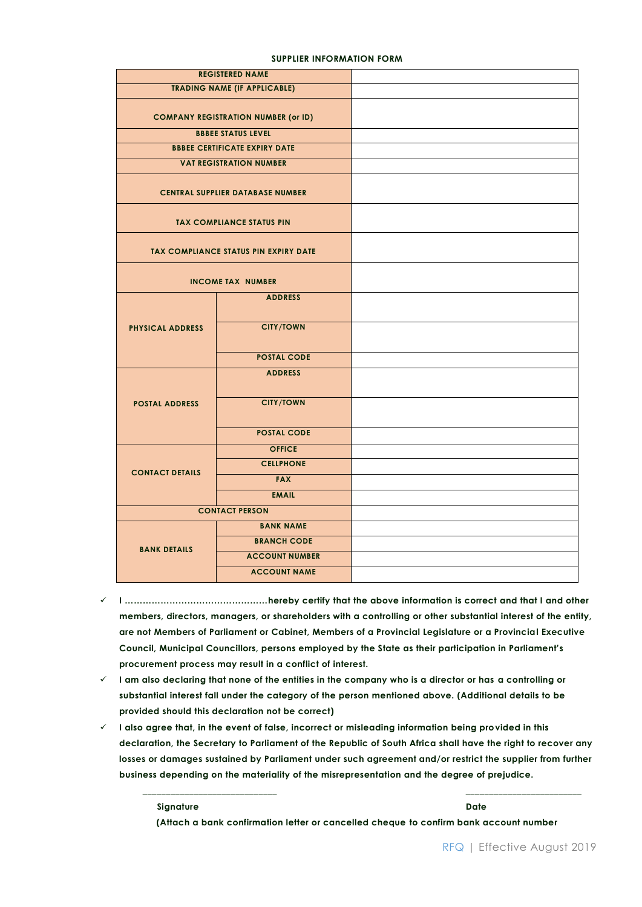| <b>REGISTERED NAME</b>                     |                                              |  |
|--------------------------------------------|----------------------------------------------|--|
| <b>TRADING NAME (IF APPLICABLE)</b>        |                                              |  |
| <b>COMPANY REGISTRATION NUMBER (or ID)</b> |                                              |  |
|                                            | <b>BBBEE STATUS LEVEL</b>                    |  |
|                                            | <b>BBBEE CERTIFICATE EXPIRY DATE</b>         |  |
|                                            | <b>VAT REGISTRATION NUMBER</b>               |  |
|                                            | <b>CENTRAL SUPPLIER DATABASE NUMBER</b>      |  |
|                                            | <b>TAX COMPLIANCE STATUS PIN</b>             |  |
|                                            | <b>TAX COMPLIANCE STATUS PIN EXPIRY DATE</b> |  |
|                                            | <b>INCOME TAX NUMBER</b>                     |  |
|                                            | <b>ADDRESS</b>                               |  |
| <b>PHYSICAL ADDRESS</b>                    | <b>CITY/TOWN</b>                             |  |
|                                            | <b>POSTAL CODE</b>                           |  |
|                                            | <b>ADDRESS</b>                               |  |
| <b>POSTAL ADDRESS</b>                      | <b>CITY/TOWN</b>                             |  |
|                                            | <b>POSTAL CODE</b>                           |  |
|                                            | <b>OFFICE</b>                                |  |
| <b>CONTACT DETAILS</b>                     | <b>CELLPHONE</b>                             |  |
|                                            | <b>FAX</b>                                   |  |
|                                            | <b>EMAIL</b>                                 |  |
| <b>CONTACT PERSON</b>                      |                                              |  |
|                                            | <b>BANK NAME</b>                             |  |
| <b>BANK DETAILS</b>                        | <b>BRANCH CODE</b>                           |  |
|                                            | <b>ACCOUNT NUMBER</b>                        |  |
|                                            | <b>ACCOUNT NAME</b>                          |  |

#### **SUPPLIER INFORMATION FORM**

- **I …………………………………………hereby certify that the above information is correct and that I and other members, directors, managers, or shareholders with a controlling or other substantial interest of the entity, are not Members of Parliament or Cabinet, Members of a Provincial Legislature or a Provincial Executive Council, Municipal Councillors, persons employed by the State as their participation in Parliament's procurement process may result in a conflict of interest.**
- **I am also declaring that none of the entities in the company who is a director or has a controlling or substantial interest fall under the category of the person mentioned above. (Additional details to be provided should this declaration not be correct)**
- $\checkmark$  I also agree that, in the event of false, incorrect or misleading information being provided in this **declaration, the Secretary to Parliament of the Republic of South Africa shall have the right to recover any losses or damages sustained by Parliament under such agreement and/or restrict the supplier from further business depending on the materiality of the misrepresentation and the degree of prejudice.**

 **Signature Date**

 **(Attach a bank confirmation letter or cancelled cheque to confirm bank account number**

**\_\_\_\_\_\_\_\_\_\_\_\_\_\_\_\_\_\_\_\_\_\_\_\_\_\_\_\_\_ \_\_\_\_\_\_\_\_\_\_\_\_\_\_\_\_\_\_\_\_\_\_\_\_\_**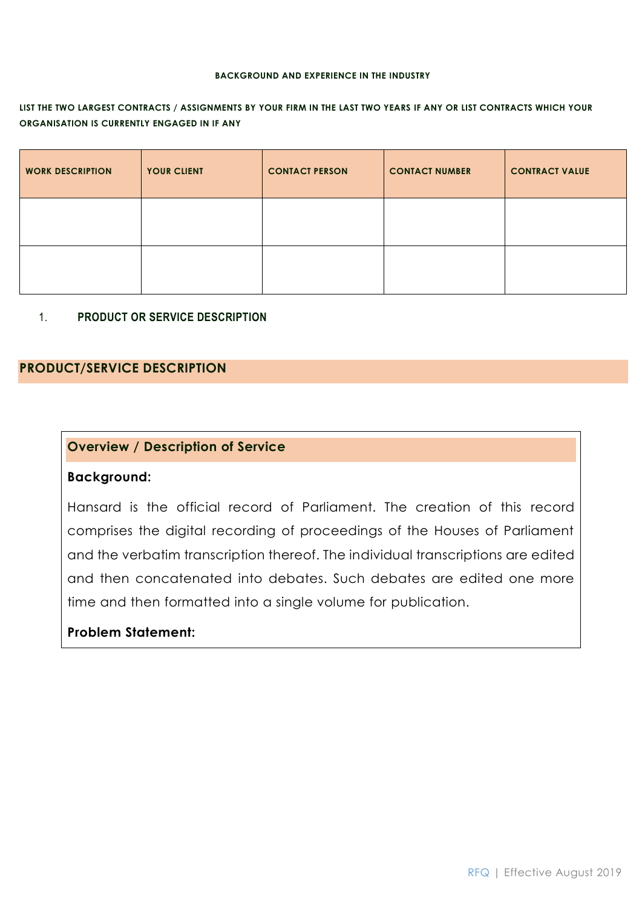#### **BACKGROUND AND EXPERIENCE IN THE INDUSTRY**

### **LIST THE TWO LARGEST CONTRACTS / ASSIGNMENTS BY YOUR FIRM IN THE LAST TWO YEARS IF ANY OR LIST CONTRACTS WHICH YOUR ORGANISATION IS CURRENTLY ENGAGED IN IF ANY**

| <b>WORK DESCRIPTION</b> | YOUR CLIENT | <b>CONTACT PERSON</b> | <b>CONTACT NUMBER</b> | <b>CONTRACT VALUE</b> |
|-------------------------|-------------|-----------------------|-----------------------|-----------------------|
|                         |             |                       |                       |                       |
|                         |             |                       |                       |                       |

1. **PRODUCT OR SERVICE DESCRIPTION**

### **PRODUCT/SERVICE DESCRIPTION**

## **Overview / Description of Service**

### **Background:**

Hansard is the official record of Parliament. The creation of this record comprises the digital recording of proceedings of the Houses of Parliament and the verbatim transcription thereof. The individual transcriptions are edited and then concatenated into debates. Such debates are edited one more time and then formatted into a single volume for publication.

# **Problem Statement:**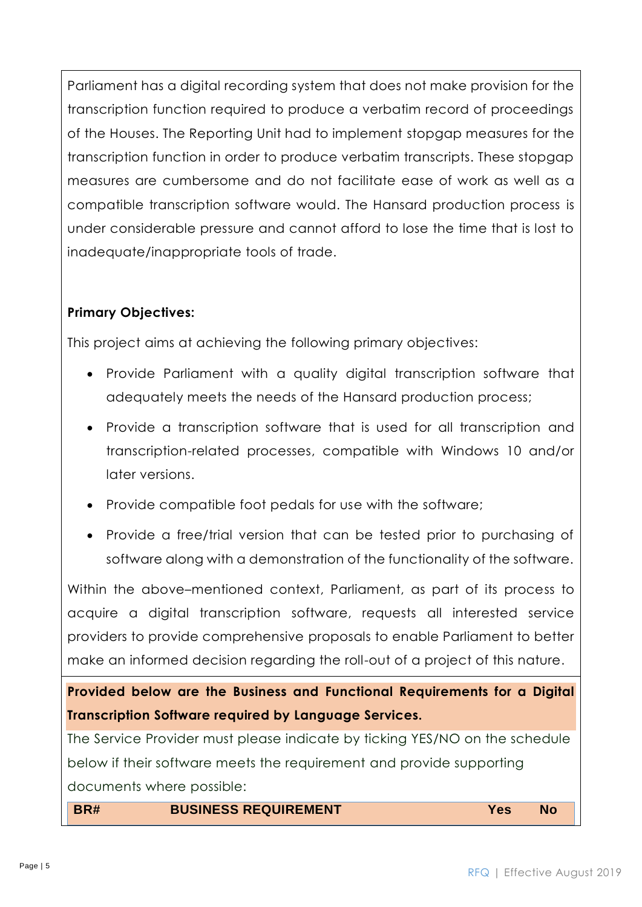Parliament has a digital recording system that does not make provision for the transcription function required to produce a verbatim record of proceedings of the Houses. The Reporting Unit had to implement stopgap measures for the transcription function in order to produce verbatim transcripts. These stopgap measures are cumbersome and do not facilitate ease of work as well as a compatible transcription software would. The Hansard production process is under considerable pressure and cannot afford to lose the time that is lost to inadequate/inappropriate tools of trade.

# **Primary Objectives:**

This project aims at achieving the following primary objectives:

- Provide Parliament with a quality digital transcription software that adequately meets the needs of the Hansard production process;
- Provide a transcription software that is used for all transcription and transcription-related processes, compatible with Windows 10 and/or later versions.
- Provide compatible foot pedals for use with the software;
- Provide a free/trial version that can be tested prior to purchasing of software along with a demonstration of the functionality of the software.

Within the above–mentioned context, Parliament, as part of its process to acquire a digital transcription software, requests all interested service providers to provide comprehensive proposals to enable Parliament to better make an informed decision regarding the roll-out of a project of this nature.

**Provided below are the Business and Functional Requirements for a Digital Transcription Software required by Language Services.**

The Service Provider must please indicate by ticking YES/NO on the schedule below if their software meets the requirement and provide supporting documents where possible:

**BR# BUSINESS REQUIREMENT Yes No**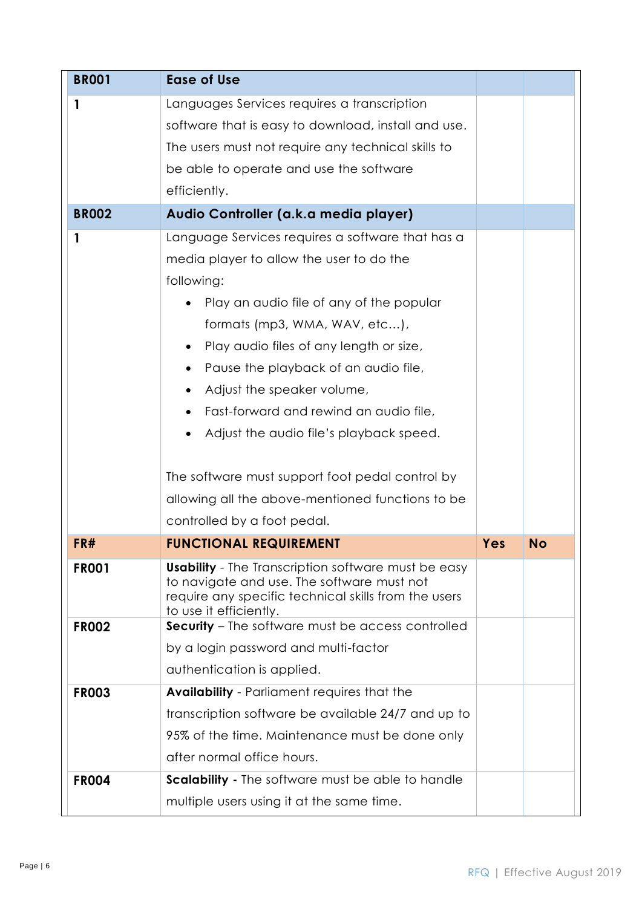| <b>BR001</b> | <b>Ease of Use</b>                                                                                                                                                                         |     |           |
|--------------|--------------------------------------------------------------------------------------------------------------------------------------------------------------------------------------------|-----|-----------|
| $\mathbf{1}$ | Languages Services requires a transcription                                                                                                                                                |     |           |
|              | software that is easy to download, install and use.                                                                                                                                        |     |           |
|              | The users must not require any technical skills to                                                                                                                                         |     |           |
|              | be able to operate and use the software                                                                                                                                                    |     |           |
|              | efficiently.                                                                                                                                                                               |     |           |
| <b>BR002</b> | Audio Controller (a.k.a media player)                                                                                                                                                      |     |           |
| $\mathbf{1}$ | Language Services requires a software that has a                                                                                                                                           |     |           |
|              | media player to allow the user to do the                                                                                                                                                   |     |           |
|              | following:                                                                                                                                                                                 |     |           |
|              | Play an audio file of any of the popular                                                                                                                                                   |     |           |
|              | formats (mp3, WMA, WAV, etc),                                                                                                                                                              |     |           |
|              | Play audio files of any length or size,                                                                                                                                                    |     |           |
|              | Pause the playback of an audio file,<br>$\bullet$                                                                                                                                          |     |           |
|              | Adjust the speaker volume,<br>$\bullet$                                                                                                                                                    |     |           |
|              | Fast-forward and rewind an audio file,                                                                                                                                                     |     |           |
|              | Adjust the audio file's playback speed.<br>٠                                                                                                                                               |     |           |
|              |                                                                                                                                                                                            |     |           |
|              | The software must support foot pedal control by                                                                                                                                            |     |           |
|              | allowing all the above-mentioned functions to be                                                                                                                                           |     |           |
|              | controlled by a foot pedal.                                                                                                                                                                |     |           |
| FR#          | <b>FUNCTIONAL REQUIREMENT</b>                                                                                                                                                              | Yes | <b>No</b> |
| <b>FR001</b> | <b>Usability</b> - The Transcription software must be easy<br>to navigate and use. The software must not<br>require any specific technical skills from the users<br>to use it efficiently. |     |           |
| <b>FR002</b> | <b>Security</b> - The software must be access controlled                                                                                                                                   |     |           |
|              | by a login password and multi-factor                                                                                                                                                       |     |           |
|              | authentication is applied.                                                                                                                                                                 |     |           |
| <b>FR003</b> | <b>Availability</b> - Parliament requires that the                                                                                                                                         |     |           |
|              | transcription software be available 24/7 and up to                                                                                                                                         |     |           |
|              | 95% of the time. Maintenance must be done only                                                                                                                                             |     |           |
|              | after normal office hours.                                                                                                                                                                 |     |           |
|              | <b>Scalability - The software must be able to handle</b>                                                                                                                                   |     |           |
| <b>FR004</b> |                                                                                                                                                                                            |     |           |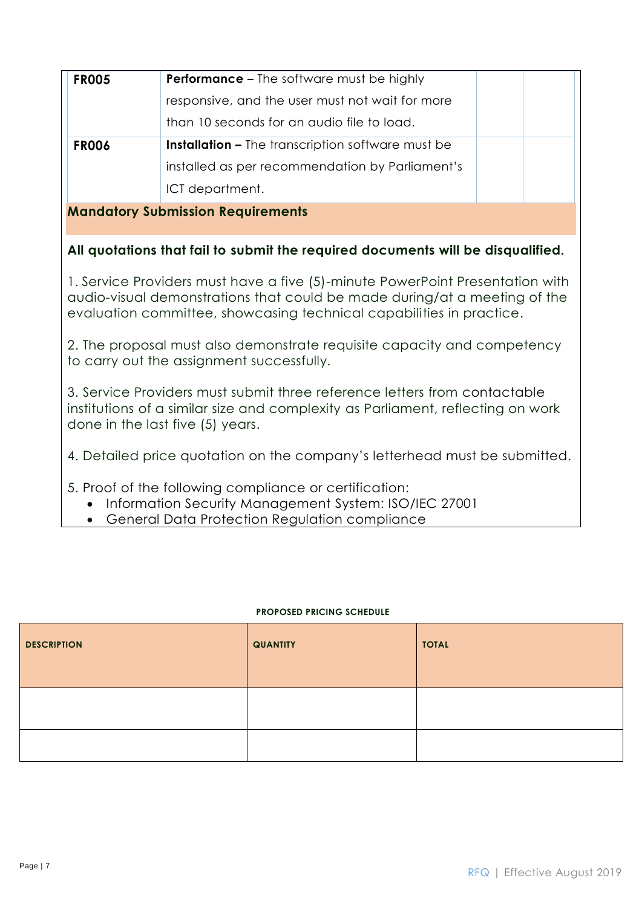| <b>FR005</b>                             | <b>Performance</b> – The software must be highly         |  |  |
|------------------------------------------|----------------------------------------------------------|--|--|
|                                          | responsive, and the user must not wait for more          |  |  |
|                                          | than 10 seconds for an audio file to load.               |  |  |
| <b>FR006</b>                             | <b>Installation –</b> The transcription software must be |  |  |
|                                          | installed as per recommendation by Parliament's          |  |  |
|                                          | ICT department.                                          |  |  |
| <b>Mandatory Submission Requirements</b> |                                                          |  |  |

# **All quotations that fail to submit the required documents will be disqualified.**

1. Service Providers must have a five (5)-minute PowerPoint Presentation with audio-visual demonstrations that could be made during/at a meeting of the evaluation committee, showcasing technical capabilities in practice.

2. The proposal must also demonstrate requisite capacity and competency to carry out the assignment successfully.

3. Service Providers must submit three reference letters from contactable institutions of a similar size and complexity as Parliament, reflecting on work done in the last five (5) years.

4. Detailed price quotation on the company's letterhead must be submitted.

- 5. Proof of the following compliance or certification:
	- Information Security Management System: ISO/IEC 27001
	- General Data Protection Regulation compliance

### **PROPOSED PRICING SCHEDULE**

| <b>DESCRIPTION</b> | <b>QUANTITY</b> | <b>TOTAL</b> |
|--------------------|-----------------|--------------|
|                    |                 |              |
|                    |                 |              |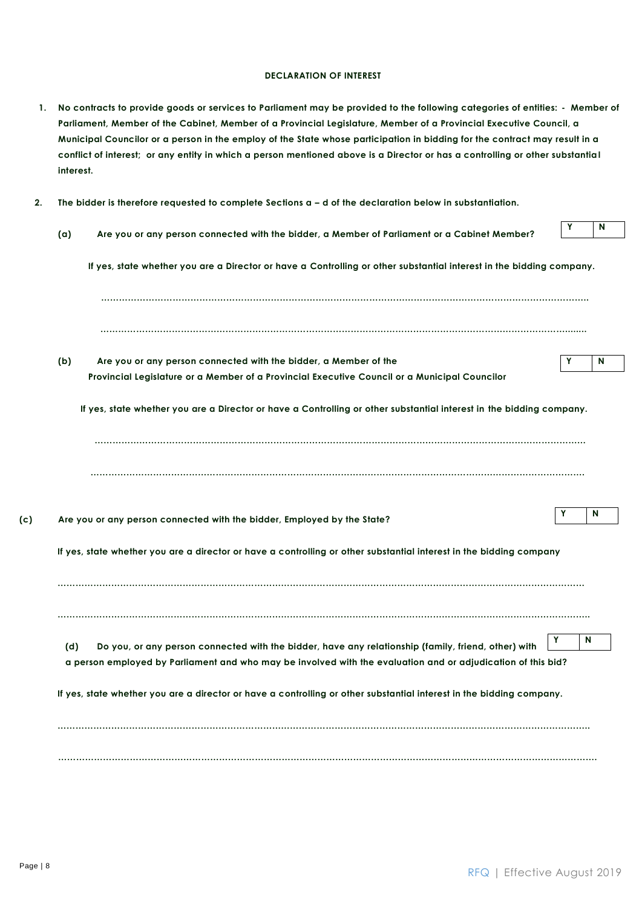#### **DECLARATION OF INTEREST**

| 1.  | No contracts to provide goods or services to Parliament may be provided to the following categories of entities: - Member of<br>Parliament, Member of the Cabinet, Member of a Provincial Legislature, Member of a Provincial Executive Council, a<br>Municipal Councilor or a person in the employ of the State whose participation in bidding for the contract may result in a<br>conflict of interest; or any entity in which a person mentioned above is a Director or has a controlling or other substantial<br>interest. |   |   |
|-----|--------------------------------------------------------------------------------------------------------------------------------------------------------------------------------------------------------------------------------------------------------------------------------------------------------------------------------------------------------------------------------------------------------------------------------------------------------------------------------------------------------------------------------|---|---|
| 2.  | The bidder is therefore requested to complete Sections $a - d$ of the declaration below in substantiation.                                                                                                                                                                                                                                                                                                                                                                                                                     |   |   |
|     | Are you or any person connected with the bidder, a Member of Parliament or a Cabinet Member?<br>(a)                                                                                                                                                                                                                                                                                                                                                                                                                            | Y | N |
|     | If yes, state whether you are a Director or have a Controlling or other substantial interest in the bidding company.                                                                                                                                                                                                                                                                                                                                                                                                           |   |   |
|     |                                                                                                                                                                                                                                                                                                                                                                                                                                                                                                                                |   |   |
|     | (b)<br>Are you or any person connected with the bidder, a Member of the                                                                                                                                                                                                                                                                                                                                                                                                                                                        | Y | N |
|     | Provincial Legislature or a Member of a Provincial Executive Council or a Municipal Councilor                                                                                                                                                                                                                                                                                                                                                                                                                                  |   |   |
|     | If yes, state whether you are a Director or have a Controlling or other substantial interest in the bidding company.                                                                                                                                                                                                                                                                                                                                                                                                           |   |   |
|     |                                                                                                                                                                                                                                                                                                                                                                                                                                                                                                                                |   |   |
| (c) | Are you or any person connected with the bidder, Employed by the State?                                                                                                                                                                                                                                                                                                                                                                                                                                                        | Y | N |
|     | If yes, state whether you are a director or have a controlling or other substantial interest in the bidding company                                                                                                                                                                                                                                                                                                                                                                                                            |   |   |
|     |                                                                                                                                                                                                                                                                                                                                                                                                                                                                                                                                |   |   |
|     | Do you, or any person connected with the bidder, have any relationship (family, friend, other) with<br>(d)                                                                                                                                                                                                                                                                                                                                                                                                                     | Υ | N |
|     | a person employed by Parliament and who may be involved with the evaluation and or adjudication of this bid?                                                                                                                                                                                                                                                                                                                                                                                                                   |   |   |
|     | If yes, state whether you are a director or have a controlling or other substantial interest in the bidding company.                                                                                                                                                                                                                                                                                                                                                                                                           |   |   |
|     |                                                                                                                                                                                                                                                                                                                                                                                                                                                                                                                                |   |   |